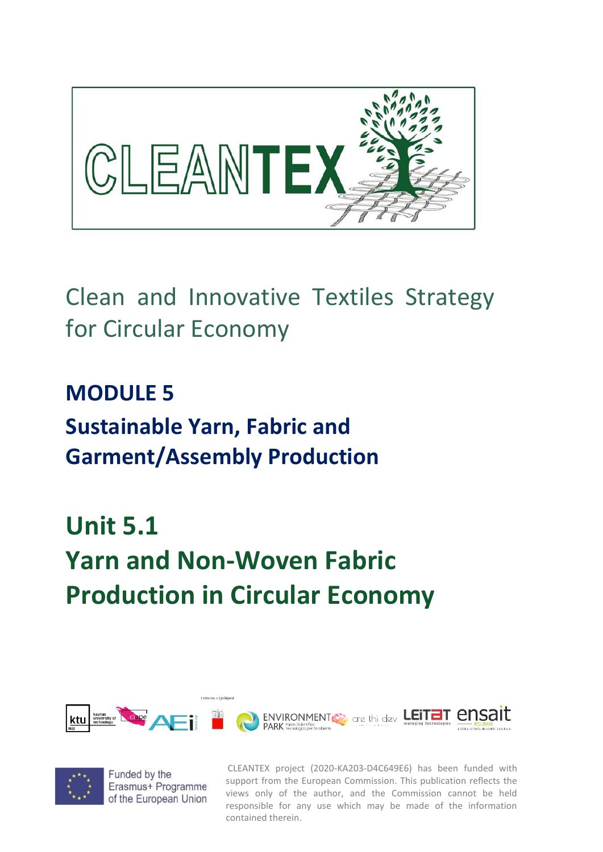

### Clean and Innovative Textiles Strategy for Circular Economy

## **MODULE 5 Sustainable Yarn, Fabric and Garment/Assembly Production**

# **Unit 5.1 Yarn and Non-Woven Fabric Production in Circular Economy**





Funded by the Erasmus+ Programme of the European Union

CLEANTEX project (2020-KA203-D4C649E6) has been funded with support from the European Commission. This publication reflects the views only of the author, and the Commission cannot be held responsible for any use which may be made of the information contained therein.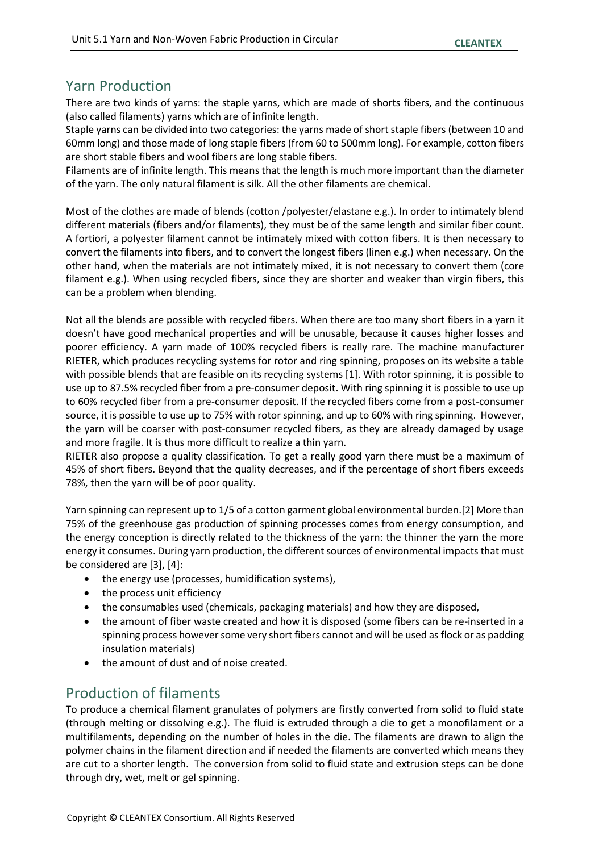### Yarn Production

There are two kinds of yarns: the staple yarns, which are made of shorts fibers, and the continuous (also called filaments) yarns which are of infinite length.

Staple yarns can be divided into two categories: the yarns made of short staple fibers (between 10 and 60mm long) and those made of long staple fibers (from 60 to 500mm long). For example, cotton fibers are short stable fibers and wool fibers are long stable fibers.

Filaments are of infinite length. This means that the length is much more important than the diameter of the yarn. The only natural filament is silk. All the other filaments are chemical.

Most of the clothes are made of blends (cotton /polyester/elastane e.g.). In order to intimately blend different materials (fibers and/or filaments), they must be of the same length and similar fiber count. A fortiori, a polyester filament cannot be intimately mixed with cotton fibers. It is then necessary to convert the filaments into fibers, and to convert the longest fibers (linen e.g.) when necessary. On the other hand, when the materials are not intimately mixed, it is not necessary to convert them (core filament e.g.). When using recycled fibers, since they are shorter and weaker than virgin fibers, this can be a problem when blending.

Not all the blends are possible with recycled fibers. When there are too many short fibers in a yarn it doesn't have good mechanical properties and will be unusable, because it causes higher losses and poorer efficiency. A yarn made of 100% recycled fibers is really rare. The machine manufacturer RIETER, which produces recycling systems for rotor and ring spinning, proposes on its website a table with possible blends that are feasible on its recycling systems [1]. With rotor spinning, it is possible to use up to 87.5% recycled fiber from a pre-consumer deposit. With ring spinning it is possible to use up to 60% recycled fiber from a pre-consumer deposit. If the recycled fibers come from a post-consumer source, it is possible to use up to 75% with rotor spinning, and up to 60% with ring spinning. However, the yarn will be coarser with post-consumer recycled fibers, as they are already damaged by usage and more fragile. It is thus more difficult to realize a thin yarn.

RIETER also propose a quality classification. To get a really good yarn there must be a maximum of 45% of short fibers. Beyond that the quality decreases, and if the percentage of short fibers exceeds 78%, then the yarn will be of poor quality.

Yarn spinning can represent up to 1/5 of a cotton garment global environmental burden.[2] More than 75% of the greenhouse gas production of spinning processes comes from energy consumption, and the energy conception is directly related to the thickness of the yarn: the thinner the yarn the more energy it consumes. During yarn production, the different sources of environmental impacts that must be considered are [3], [4]:

- the energy use (processes, humidification systems),
- the process unit efficiency
- the consumables used (chemicals, packaging materials) and how they are disposed,
- the amount of fiber waste created and how it is disposed (some fibers can be re-inserted in a spinning process however some very short fibers cannot and will be used as flock or as padding insulation materials)
- the amount of dust and of noise created.

#### Production of filaments

To produce a chemical filament granulates of polymers are firstly converted from solid to fluid state (through melting or dissolving e.g.). The fluid is extruded through a die to get a monofilament or a multifilaments, depending on the number of holes in the die. The filaments are drawn to align the polymer chains in the filament direction and if needed the filaments are converted which means they are cut to a shorter length. The conversion from solid to fluid state and extrusion steps can be done through dry, wet, melt or gel spinning.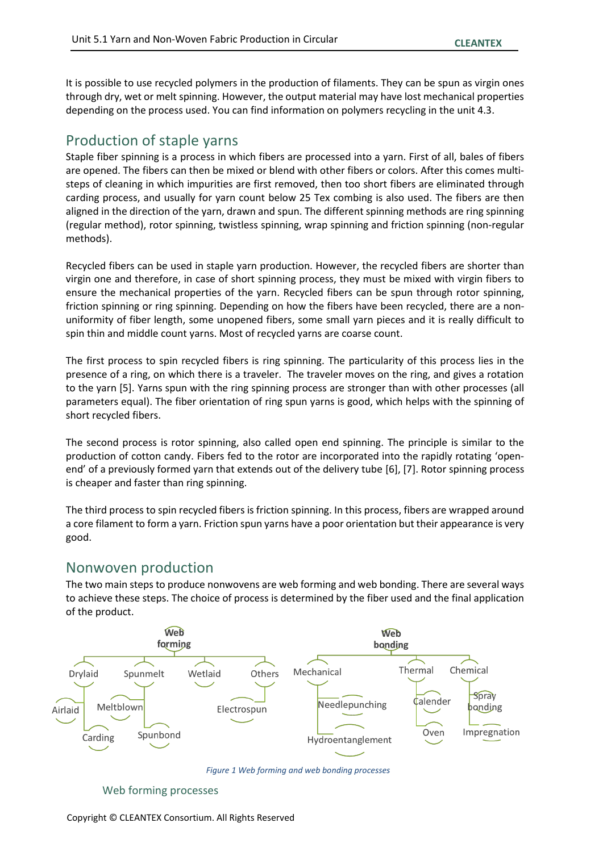It is possible to use recycled polymers in the production of filaments. They can be spun as virgin ones through dry, wet or melt spinning. However, the output material may have lost mechanical properties depending on the process used. You can find information on polymers recycling in the unit 4.3.

#### Production of staple yarns

Staple fiber spinning is a process in which fibers are processed into a yarn. First of all, bales of fibers are opened. The fibers can then be mixed or blend with other fibers or colors. After this comes multisteps of cleaning in which impurities are first removed, then too short fibers are eliminated through carding process, and usually for yarn count below 25 Tex combing is also used. The fibers are then aligned in the direction of the yarn, drawn and spun. The different spinning methods are ring spinning (regular method), rotor spinning, twistless spinning, wrap spinning and friction spinning (non-regular methods).

Recycled fibers can be used in staple yarn production. However, the recycled fibers are shorter than virgin one and therefore, in case of short spinning process, they must be mixed with virgin fibers to ensure the mechanical properties of the yarn. Recycled fibers can be spun through rotor spinning, friction spinning or ring spinning. Depending on how the fibers have been recycled, there are a nonuniformity of fiber length, some unopened fibers, some small yarn pieces and it is really difficult to spin thin and middle count yarns. Most of recycled yarns are coarse count.

The first process to spin recycled fibers is ring spinning. The particularity of this process lies in the presence of a ring, on which there is a traveler. The traveler moves on the ring, and gives a rotation to the yarn [5]. Yarns spun with the ring spinning process are stronger than with other processes (all parameters equal). The fiber orientation of ring spun yarns is good, which helps with the spinning of short recycled fibers.

The second process is rotor spinning, also called open end spinning. The principle is similar to the production of cotton candy. Fibers fed to the rotor are incorporated into the rapidly rotating 'openend' of a previously formed yarn that extends out of the delivery tube [6], [7]. Rotor spinning process is cheaper and faster than ring spinning.

The third process to spin recycled fibers is friction spinning. In this process, fibers are wrapped around a core filament to form a yarn. Friction spun yarns have a poor orientation but their appearance is very good.

#### Nonwoven production

The two main steps to produce nonwovens are web forming and web bonding. There are several ways to achieve these steps. The choice of process is determined by the fiber used and the final application of the product.



*Figure 1 Web forming and web bonding processes*

Web forming processes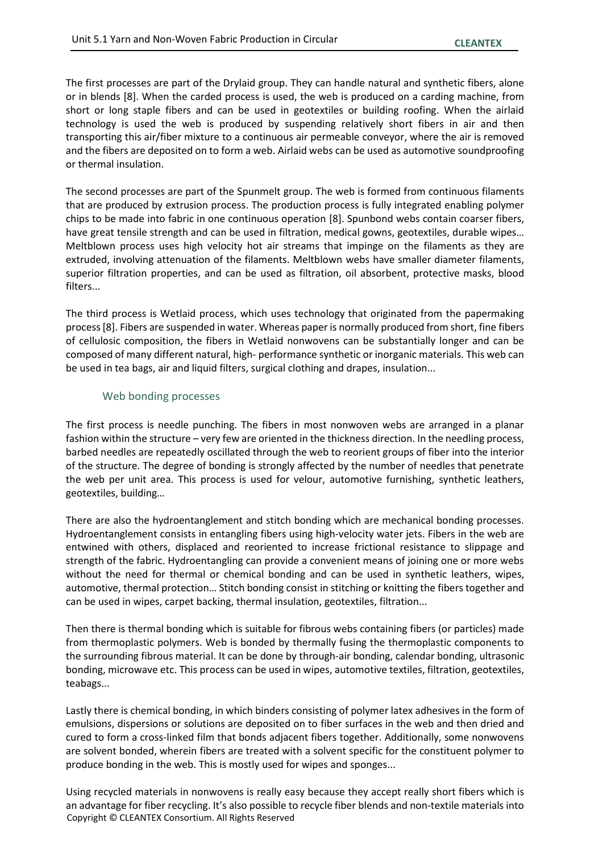The first processes are part of the Drylaid group. They can handle natural and synthetic fibers, alone or in blends [8]. When the carded process is used, the web is produced on a carding machine, from short or long staple fibers and can be used in geotextiles or building roofing. When the airlaid technology is used the web is produced by suspending relatively short fibers in air and then transporting this air/fiber mixture to a continuous air permeable conveyor, where the air is removed and the fibers are deposited on to form a web. Airlaid webs can be used as automotive soundproofing or thermal insulation.

The second processes are part of the Spunmelt group. The web is formed from continuous filaments that are produced by extrusion process. The production process is fully integrated enabling polymer chips to be made into fabric in one continuous operation [8]. Spunbond webs contain coarser fibers, have great tensile strength and can be used in filtration, medical gowns, geotextiles, durable wipes… Meltblown process uses high velocity hot air streams that impinge on the filaments as they are extruded, involving attenuation of the filaments. Meltblown webs have smaller diameter filaments, superior filtration properties, and can be used as filtration, oil absorbent, protective masks, blood filters...

The third process is Wetlaid process, which uses technology that originated from the papermaking process[8]. Fibers are suspended in water. Whereas paper is normally produced from short, fine fibers of cellulosic composition, the fibers in Wetlaid nonwovens can be substantially longer and can be composed of many different natural, high- performance synthetic or inorganic materials. This web can be used in tea bags, air and liquid filters, surgical clothing and drapes, insulation...

#### Web bonding processes

The first process is needle punching. The fibers in most nonwoven webs are arranged in a planar fashion within the structure – very few are oriented in the thickness direction. In the needling process, barbed needles are repeatedly oscillated through the web to reorient groups of fiber into the interior of the structure. The degree of bonding is strongly affected by the number of needles that penetrate the web per unit area. This process is used for velour, automotive furnishing, synthetic leathers, geotextiles, building…

There are also the hydroentanglement and stitch bonding which are mechanical bonding processes. Hydroentanglement consists in entangling fibers using high-velocity water jets. Fibers in the web are entwined with others, displaced and reoriented to increase frictional resistance to slippage and strength of the fabric. Hydroentangling can provide a convenient means of joining one or more webs without the need for thermal or chemical bonding and can be used in synthetic leathers, wipes, automotive, thermal protection… Stitch bonding consist in stitching or knitting the fibers together and can be used in wipes, carpet backing, thermal insulation, geotextiles, filtration...

Then there is thermal bonding which is suitable for fibrous webs containing fibers (or particles) made from thermoplastic polymers. Web is bonded by thermally fusing the thermoplastic components to the surrounding fibrous material. It can be done by through-air bonding, calendar bonding, ultrasonic bonding, microwave etc. This process can be used in wipes, automotive textiles, filtration, geotextiles, teabags...

Lastly there is chemical bonding, in which binders consisting of polymer latex adhesives in the form of emulsions, dispersions or solutions are deposited on to fiber surfaces in the web and then dried and cured to form a cross-linked film that bonds adjacent fibers together. Additionally, some nonwovens are solvent bonded, wherein fibers are treated with a solvent specific for the constituent polymer to produce bonding in the web. This is mostly used for wipes and sponges...

Copyright © CLEANTEX Consortium. All Rights Reserved Using recycled materials in nonwovens is really easy because they accept really short fibers which is an advantage for fiber recycling. It's also possible to recycle fiber blends and non-textile materials into